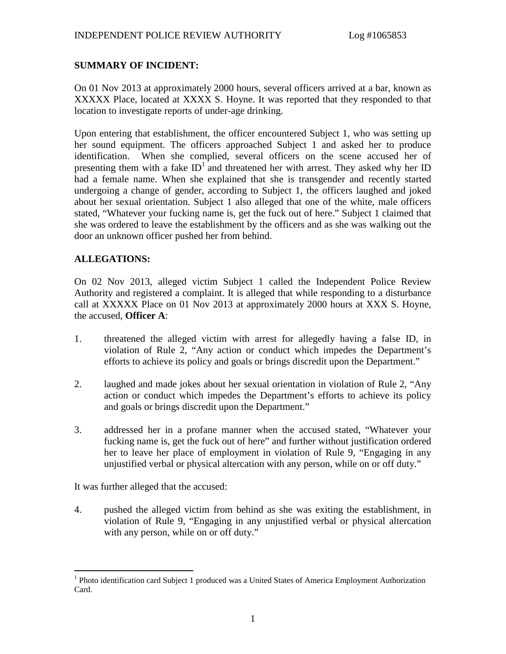# **SUMMARY OF INCIDENT:**

On 01 Nov 2013 at approximately 2000 hours, several officers arrived at a bar, known as XXXXX Place, located at XXXX S. Hoyne. It was reported that they responded to that location to investigate reports of under-age drinking.

Upon entering that establishment, the officer encountered Subject 1, who was setting up her sound equipment. The officers approached Subject 1 and asked her to produce identification. When she complied, several officers on the scene accused her of presentingthem with a fake  $ID^1$  $ID^1$  $ID^1$  and threatened her with arrest. They asked why her ID had a female name. When she explained that she is transgender and recently started undergoing a change of gender, according to Subject 1, the officers laughed and joked about her sexual orientation. Subject 1 also alleged that one of the white, male officers stated, "Whatever your fucking name is, get the fuck out of here." Subject 1 claimed that she was ordered to leave the establishment by the officers and as she was walking out the door an unknown officer pushed her from behind.

# **ALLEGATIONS:**

On 02 Nov 2013, alleged victim Subject 1 called the Independent Police Review Authority and registered a complaint. It is alleged that while responding to a disturbance call at XXXXX Place on 01 Nov 2013 at approximately 2000 hours at XXX S. Hoyne, the accused, **Officer A**:

- 1. threatened the alleged victim with arrest for allegedly having a false ID, in violation of Rule 2, "Any action or conduct which impedes the Department's efforts to achieve its policy and goals or brings discredit upon the Department."
- 2. laughed and made jokes about her sexual orientation in violation of Rule 2, "Any action or conduct which impedes the Department's efforts to achieve its policy and goals or brings discredit upon the Department."
- 3. addressed her in a profane manner when the accused stated, "Whatever your fucking name is, get the fuck out of here" and further without justification ordered her to leave her place of employment in violation of Rule 9, "Engaging in any unjustified verbal or physical altercation with any person, while on or off duty."

It was further alleged that the accused:

4. pushed the alleged victim from behind as she was exiting the establishment, in violation of Rule 9, "Engaging in any unjustified verbal or physical altercation with any person, while on or off duty."

<span id="page-0-0"></span><sup>&</sup>lt;sup>1</sup> Photo identification card Subject 1 produced was a United States of America Employment Authorization Card.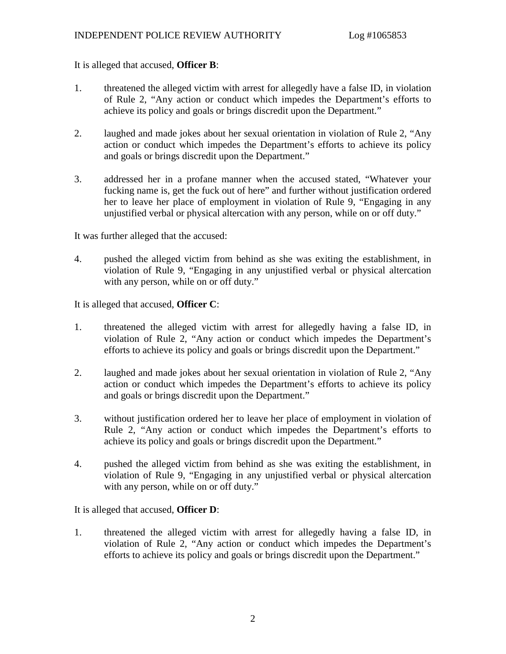It is alleged that accused, **Officer B**:

- 1. threatened the alleged victim with arrest for allegedly have a false ID, in violation of Rule 2, "Any action or conduct which impedes the Department's efforts to achieve its policy and goals or brings discredit upon the Department."
- 2. laughed and made jokes about her sexual orientation in violation of Rule 2, "Any action or conduct which impedes the Department's efforts to achieve its policy and goals or brings discredit upon the Department."
- 3. addressed her in a profane manner when the accused stated, "Whatever your fucking name is, get the fuck out of here" and further without justification ordered her to leave her place of employment in violation of Rule 9, "Engaging in any unjustified verbal or physical altercation with any person, while on or off duty."

It was further alleged that the accused:

4. pushed the alleged victim from behind as she was exiting the establishment, in violation of Rule 9, "Engaging in any unjustified verbal or physical altercation with any person, while on or off duty."

It is alleged that accused, **Officer C**:

- 1. threatened the alleged victim with arrest for allegedly having a false ID, in violation of Rule 2, "Any action or conduct which impedes the Department's efforts to achieve its policy and goals or brings discredit upon the Department."
- 2. laughed and made jokes about her sexual orientation in violation of Rule 2, "Any action or conduct which impedes the Department's efforts to achieve its policy and goals or brings discredit upon the Department."
- 3. without justification ordered her to leave her place of employment in violation of Rule 2, "Any action or conduct which impedes the Department's efforts to achieve its policy and goals or brings discredit upon the Department."
- 4. pushed the alleged victim from behind as she was exiting the establishment, in violation of Rule 9, "Engaging in any unjustified verbal or physical altercation with any person, while on or off duty."

It is alleged that accused, **Officer D**:

1. threatened the alleged victim with arrest for allegedly having a false ID, in violation of Rule 2, "Any action or conduct which impedes the Department's efforts to achieve its policy and goals or brings discredit upon the Department."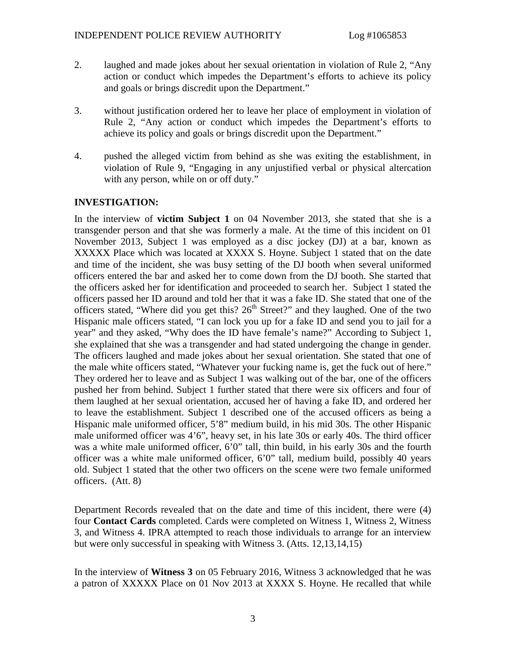- 2. laughed and made jokes about her sexual orientation in violation of Rule 2, "Any action or conduct which impedes the Department's efforts to achieve its policy and goals or brings discredit upon the Department."
- 3. without justification ordered her to leave her place of employment in violation of Rule 2, "Any action or conduct which impedes the Department's efforts to achieve its policy and goals or brings discredit upon the Department."
- 4. pushed the alleged victim from behind as she was exiting the establishment, in violation of Rule 9, "Engaging in any unjustified verbal or physical altercation with any person, while on or off duty."

# **INVESTIGATION:**

In the interview of **victim Subject 1** on 04 November 2013, she stated that she is a transgender person and that she was formerly a male. At the time of this incident on 01 November 2013, Subject 1 was employed as a disc jockey (DJ) at a bar, known as XXXXX Place which was located at XXXX S. Hoyne. Subject 1 stated that on the date and time of the incident, she was busy setting of the DJ booth when several uniformed officers entered the bar and asked her to come down from the DJ booth. She started that the officers asked her for identification and proceeded to search her. Subject 1 stated the officers passed her ID around and told her that it was a fake ID. She stated that one of the officers stated, "Where did you get this?  $26<sup>th</sup>$  Street?" and they laughed. One of the two Hispanic male officers stated, "I can lock you up for a fake ID and send you to jail for a year" and they asked, "Why does the ID have female's name?" According to Subject 1, she explained that she was a transgender and had stated undergoing the change in gender. The officers laughed and made jokes about her sexual orientation. She stated that one of the male white officers stated, "Whatever your fucking name is, get the fuck out of here." They ordered her to leave and as Subject 1 was walking out of the bar, one of the officers pushed her from behind. Subject 1 further stated that there were six officers and four of them laughed at her sexual orientation, accused her of having a fake ID, and ordered her to leave the establishment. Subject 1 described one of the accused officers as being a Hispanic male uniformed officer, 5'8" medium build, in his mid 30s. The other Hispanic male uniformed officer was 4'6", heavy set, in his late 30s or early 40s. The third officer was a white male uniformed officer, 6'0" tall, thin build, in his early 30s and the fourth officer was a white male uniformed officer, 6'0" tall, medium build, possibly 40 years old. Subject 1 stated that the other two officers on the scene were two female uniformed officers. (Att. 8)

Department Records revealed that on the date and time of this incident, there were (4) four **Contact Cards** completed. Cards were completed on Witness 1, Witness 2, Witness 3, and Witness 4. IPRA attempted to reach those individuals to arrange for an interview but were only successful in speaking with Witness 3. (Atts. 12,13,14,15)

In the interview of **Witness 3** on 05 February 2016, Witness 3 acknowledged that he was a patron of XXXXX Place on 01 Nov 2013 at XXXX S. Hoyne. He recalled that while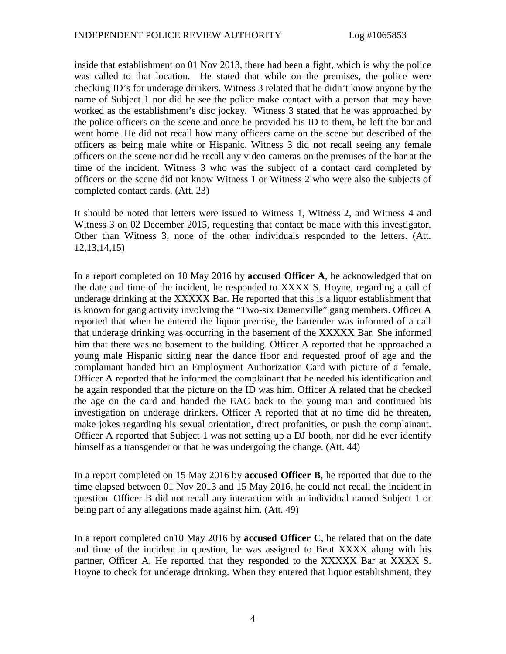inside that establishment on 01 Nov 2013, there had been a fight, which is why the police was called to that location. He stated that while on the premises, the police were checking ID's for underage drinkers. Witness 3 related that he didn't know anyone by the name of Subject 1 nor did he see the police make contact with a person that may have worked as the establishment's disc jockey. Witness 3 stated that he was approached by the police officers on the scene and once he provided his ID to them, he left the bar and went home. He did not recall how many officers came on the scene but described of the officers as being male white or Hispanic. Witness 3 did not recall seeing any female officers on the scene nor did he recall any video cameras on the premises of the bar at the time of the incident. Witness 3 who was the subject of a contact card completed by officers on the scene did not know Witness 1 or Witness 2 who were also the subjects of completed contact cards. (Att. 23)

It should be noted that letters were issued to Witness 1, Witness 2, and Witness 4 and Witness 3 on 02 December 2015, requesting that contact be made with this investigator. Other than Witness 3, none of the other individuals responded to the letters. (Att. 12,13,14,15)

In a report completed on 10 May 2016 by **accused Officer A**, he acknowledged that on the date and time of the incident, he responded to XXXX S. Hoyne, regarding a call of underage drinking at the XXXXX Bar. He reported that this is a liquor establishment that is known for gang activity involving the "Two-six Damenville" gang members. Officer A reported that when he entered the liquor premise, the bartender was informed of a call that underage drinking was occurring in the basement of the XXXXX Bar. She informed him that there was no basement to the building. Officer A reported that he approached a young male Hispanic sitting near the dance floor and requested proof of age and the complainant handed him an Employment Authorization Card with picture of a female. Officer A reported that he informed the complainant that he needed his identification and he again responded that the picture on the ID was him. Officer A related that he checked the age on the card and handed the EAC back to the young man and continued his investigation on underage drinkers. Officer A reported that at no time did he threaten, make jokes regarding his sexual orientation, direct profanities, or push the complainant. Officer A reported that Subject 1 was not setting up a DJ booth, nor did he ever identify himself as a transgender or that he was undergoing the change. (Att. 44)

In a report completed on 15 May 2016 by **accused Officer B**, he reported that due to the time elapsed between 01 Nov 2013 and 15 May 2016, he could not recall the incident in question. Officer B did not recall any interaction with an individual named Subject 1 or being part of any allegations made against him. (Att. 49)

In a report completed on10 May 2016 by **accused Officer C**, he related that on the date and time of the incident in question, he was assigned to Beat XXXX along with his partner, Officer A. He reported that they responded to the XXXXX Bar at XXXX S. Hoyne to check for underage drinking. When they entered that liquor establishment, they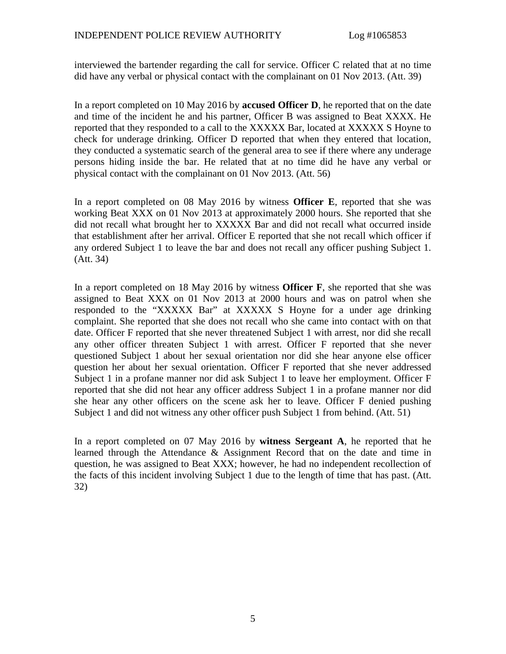interviewed the bartender regarding the call for service. Officer C related that at no time did have any verbal or physical contact with the complainant on 01 Nov 2013. (Att. 39)

In a report completed on 10 May 2016 by **accused Officer D**, he reported that on the date and time of the incident he and his partner, Officer B was assigned to Beat XXXX. He reported that they responded to a call to the XXXXX Bar, located at XXXXX S Hoyne to check for underage drinking. Officer D reported that when they entered that location, they conducted a systematic search of the general area to see if there where any underage persons hiding inside the bar. He related that at no time did he have any verbal or physical contact with the complainant on 01 Nov 2013. (Att. 56)

In a report completed on 08 May 2016 by witness **Officer E**, reported that she was working Beat XXX on 01 Nov 2013 at approximately 2000 hours. She reported that she did not recall what brought her to XXXXX Bar and did not recall what occurred inside that establishment after her arrival. Officer E reported that she not recall which officer if any ordered Subject 1 to leave the bar and does not recall any officer pushing Subject 1. (Att. 34)

In a report completed on 18 May 2016 by witness **Officer F**, she reported that she was assigned to Beat XXX on 01 Nov 2013 at 2000 hours and was on patrol when she responded to the "XXXXX Bar" at XXXXX S Hoyne for a under age drinking complaint. She reported that she does not recall who she came into contact with on that date. Officer F reported that she never threatened Subject 1 with arrest, nor did she recall any other officer threaten Subject 1 with arrest. Officer F reported that she never questioned Subject 1 about her sexual orientation nor did she hear anyone else officer question her about her sexual orientation. Officer F reported that she never addressed Subject 1 in a profane manner nor did ask Subject 1 to leave her employment. Officer F reported that she did not hear any officer address Subject 1 in a profane manner nor did she hear any other officers on the scene ask her to leave. Officer F denied pushing Subject 1 and did not witness any other officer push Subject 1 from behind. (Att. 51)

In a report completed on 07 May 2016 by **witness Sergeant A**, he reported that he learned through the Attendance & Assignment Record that on the date and time in question, he was assigned to Beat XXX; however, he had no independent recollection of the facts of this incident involving Subject 1 due to the length of time that has past. (Att. 32)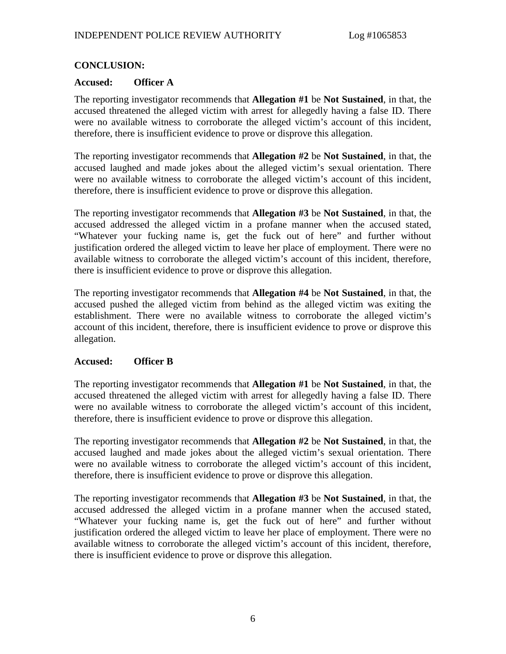### **CONCLUSION:**

#### **Accused: Officer A**

The reporting investigator recommends that **Allegation #1** be **Not Sustained**, in that, the accused threatened the alleged victim with arrest for allegedly having a false ID. There were no available witness to corroborate the alleged victim's account of this incident, therefore, there is insufficient evidence to prove or disprove this allegation.

The reporting investigator recommends that **Allegation #2** be **Not Sustained**, in that, the accused laughed and made jokes about the alleged victim's sexual orientation. There were no available witness to corroborate the alleged victim's account of this incident, therefore, there is insufficient evidence to prove or disprove this allegation.

The reporting investigator recommends that **Allegation #3** be **Not Sustained**, in that, the accused addressed the alleged victim in a profane manner when the accused stated, "Whatever your fucking name is, get the fuck out of here" and further without justification ordered the alleged victim to leave her place of employment. There were no available witness to corroborate the alleged victim's account of this incident, therefore, there is insufficient evidence to prove or disprove this allegation.

The reporting investigator recommends that **Allegation #4** be **Not Sustained**, in that, the accused pushed the alleged victim from behind as the alleged victim was exiting the establishment. There were no available witness to corroborate the alleged victim's account of this incident, therefore, there is insufficient evidence to prove or disprove this allegation.

#### **Accused: Officer B**

The reporting investigator recommends that **Allegation #1** be **Not Sustained**, in that, the accused threatened the alleged victim with arrest for allegedly having a false ID. There were no available witness to corroborate the alleged victim's account of this incident, therefore, there is insufficient evidence to prove or disprove this allegation.

The reporting investigator recommends that **Allegation #2** be **Not Sustained**, in that, the accused laughed and made jokes about the alleged victim's sexual orientation. There were no available witness to corroborate the alleged victim's account of this incident, therefore, there is insufficient evidence to prove or disprove this allegation.

The reporting investigator recommends that **Allegation #3** be **Not Sustained**, in that, the accused addressed the alleged victim in a profane manner when the accused stated, "Whatever your fucking name is, get the fuck out of here" and further without justification ordered the alleged victim to leave her place of employment. There were no available witness to corroborate the alleged victim's account of this incident, therefore, there is insufficient evidence to prove or disprove this allegation.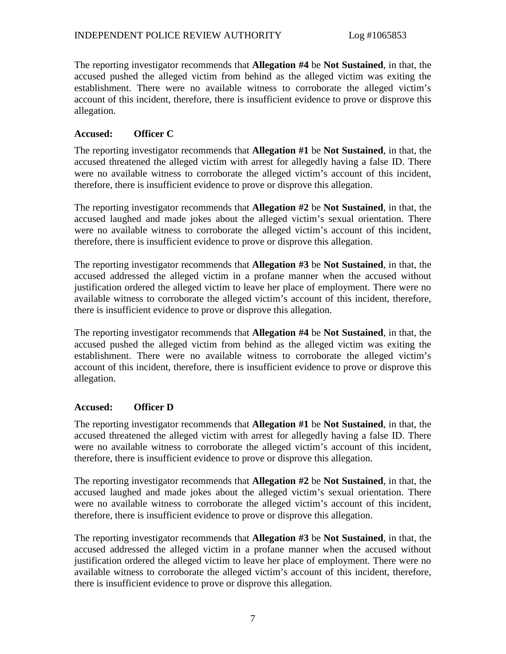The reporting investigator recommends that **Allegation #4** be **Not Sustained**, in that, the accused pushed the alleged victim from behind as the alleged victim was exiting the establishment. There were no available witness to corroborate the alleged victim's account of this incident, therefore, there is insufficient evidence to prove or disprove this allegation.

# **Accused: Officer C**

The reporting investigator recommends that **Allegation #1** be **Not Sustained**, in that, the accused threatened the alleged victim with arrest for allegedly having a false ID. There were no available witness to corroborate the alleged victim's account of this incident, therefore, there is insufficient evidence to prove or disprove this allegation.

The reporting investigator recommends that **Allegation #2** be **Not Sustained**, in that, the accused laughed and made jokes about the alleged victim's sexual orientation. There were no available witness to corroborate the alleged victim's account of this incident, therefore, there is insufficient evidence to prove or disprove this allegation.

The reporting investigator recommends that **Allegation #3** be **Not Sustained**, in that, the accused addressed the alleged victim in a profane manner when the accused without justification ordered the alleged victim to leave her place of employment. There were no available witness to corroborate the alleged victim's account of this incident, therefore, there is insufficient evidence to prove or disprove this allegation.

The reporting investigator recommends that **Allegation #4** be **Not Sustained**, in that, the accused pushed the alleged victim from behind as the alleged victim was exiting the establishment. There were no available witness to corroborate the alleged victim's account of this incident, therefore, there is insufficient evidence to prove or disprove this allegation.

# **Accused: Officer D**

The reporting investigator recommends that **Allegation #1** be **Not Sustained**, in that, the accused threatened the alleged victim with arrest for allegedly having a false ID. There were no available witness to corroborate the alleged victim's account of this incident, therefore, there is insufficient evidence to prove or disprove this allegation.

The reporting investigator recommends that **Allegation #2** be **Not Sustained**, in that, the accused laughed and made jokes about the alleged victim's sexual orientation. There were no available witness to corroborate the alleged victim's account of this incident, therefore, there is insufficient evidence to prove or disprove this allegation.

The reporting investigator recommends that **Allegation #3** be **Not Sustained**, in that, the accused addressed the alleged victim in a profane manner when the accused without justification ordered the alleged victim to leave her place of employment. There were no available witness to corroborate the alleged victim's account of this incident, therefore, there is insufficient evidence to prove or disprove this allegation.